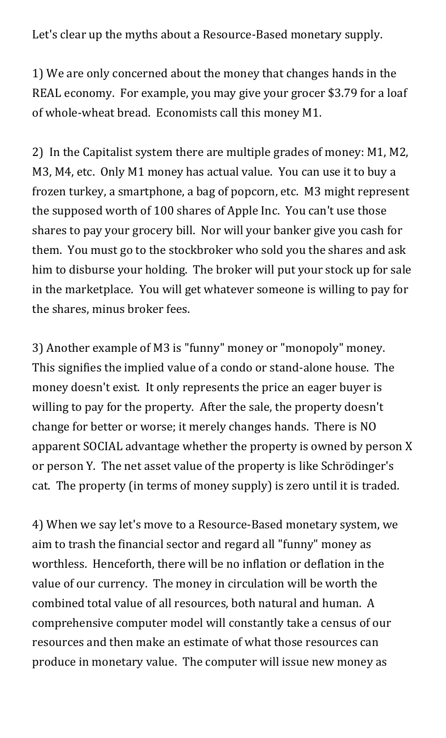Let's clear up the myths about a Resource-Based monetary supply.

1) We are only concerned about the money that changes hands in the REAL economy. For example, you may give your grocer \$3.79 for a loaf of whole-wheat bread. Economists call this money M1.

2) In the Capitalist system there are multiple grades of money: M1, M2, M3, M4, etc. Only M1 money has actual value. You can use it to buy a frozen turkey, a smartphone, a bag of popcorn, etc. M3 might represent the supposed worth of 100 shares of Apple Inc. You can't use those shares to pay your grocery bill. Nor will your banker give you cash for them. You must go to the stockbroker who sold you the shares and ask him to disburse your holding. The broker will put your stock up for sale in the marketplace. You will get whatever someone is willing to pay for the shares, minus broker fees.

3) Another example of M3 is "funny" money or "monopoly" money. This signifies the implied value of a condo or stand-alone house. The money doesn't exist. It only represents the price an eager buyer is willing to pay for the property. After the sale, the property doesn't change for better or worse; it merely changes hands. There is NO apparent SOCIAL advantage whether the property is owned by person X or person Y. The net asset value of the property is like Schrödinger's cat. The property (in terms of money supply) is zero until it is traded.

4) When we say let's move to a Resource-Based monetary system, we aim to trash the financial sector and regard all "funny" money as worthless. Henceforth, there will be no inflation or deflation in the value of our currency. The money in circulation will be worth the combined total value of all resources, both natural and human. A comprehensive computer model will constantly take a census of our resources and then make an estimate of what those resources can produce in monetary value. The computer will issue new money as